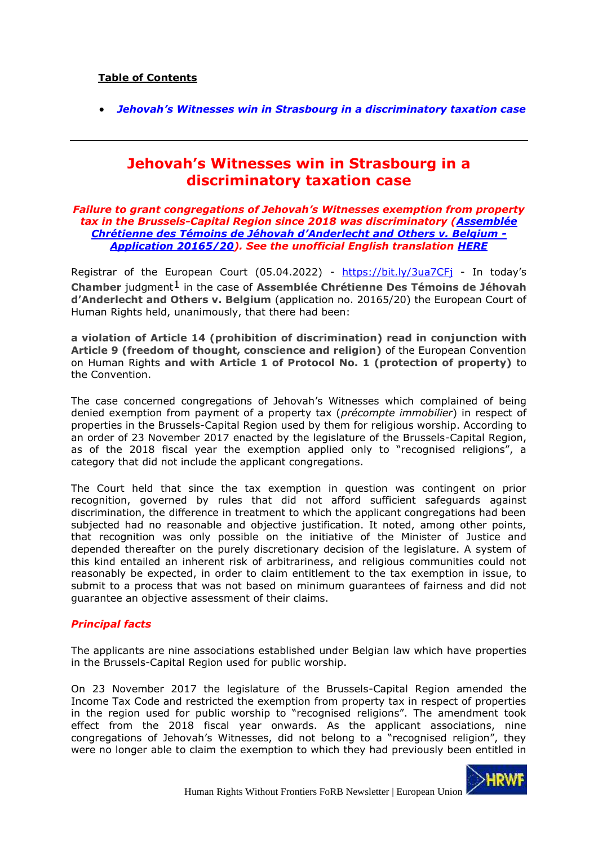# **Table of Contents**

<span id="page-0-0"></span>• *[Jehovah's Witnesses win in Strasbourg in a discriminatory taxation case](#page-0-0)*

# **Jehovah's Witnesses win in Strasbourg in a discriminatory taxation case**

#### *Failure to grant congregations of Jehovah's Witnesses exemption from property tax in the Brussels-Capital Region since 2018 was discriminatory [\(Assemblée](https://hudoc.echr.coe.int/eng#{%22itemid%22:[%22001-216625%22]})  [Chrétienne des Témoins de Jéhovah](https://hudoc.echr.coe.int/eng#{%22itemid%22:[%22001-216625%22]}) d'Anderlecht and Others v. Belgium - [Application 20165/20\)](https://hudoc.echr.coe.int/eng#{%22itemid%22:[%22001-216625%22]}). See the unofficial English translation [HERE](https://hrwf.eu/forb/our-advocacy-papers/)*

Registrar of the European Court (05.04.2022) - <https://bit.ly/3ua7CFj> - In today's **Chamber** judgment1 in the case of **Assemblée Chrétienne Des Témoins de Jéhovah d'Anderlecht and Others v. Belgium** (application no. 20165/20) the European Court of Human Rights held, unanimously, that there had been:

**a violation of Article 14 (prohibition of discrimination) read in conjunction with Article 9 (freedom of thought, conscience and religion)** of the European Convention on Human Rights **and with Article 1 of Protocol No. 1 (protection of property)** to the Convention.

The case concerned congregations of Jehovah's Witnesses which complained of being denied exemption from payment of a property tax (*précompte immobilier*) in respect of properties in the Brussels-Capital Region used by them for religious worship. According to an order of 23 November 2017 enacted by the legislature of the Brussels-Capital Region, as of the 2018 fiscal year the exemption applied only to "recognised religions", a category that did not include the applicant congregations.

The Court held that since the tax exemption in question was contingent on prior recognition, governed by rules that did not afford sufficient safeguards against discrimination, the difference in treatment to which the applicant congregations had been subjected had no reasonable and objective justification. It noted, among other points, that recognition was only possible on the initiative of the Minister of Justice and depended thereafter on the purely discretionary decision of the legislature. A system of this kind entailed an inherent risk of arbitrariness, and religious communities could not reasonably be expected, in order to claim entitlement to the tax exemption in issue, to submit to a process that was not based on minimum guarantees of fairness and did not guarantee an objective assessment of their claims.

# *Principal facts*

The applicants are nine associations established under Belgian law which have properties in the Brussels-Capital Region used for public worship.

On 23 November 2017 the legislature of the Brussels-Capital Region amended the Income Tax Code and restricted the exemption from property tax in respect of properties in the region used for public worship to "recognised religions". The amendment took effect from the 2018 fiscal year onwards. As the applicant associations, nine congregations of Jehovah's Witnesses, did not belong to a "recognised religion", they were no longer able to claim the exemption to which they had previously been entitled in

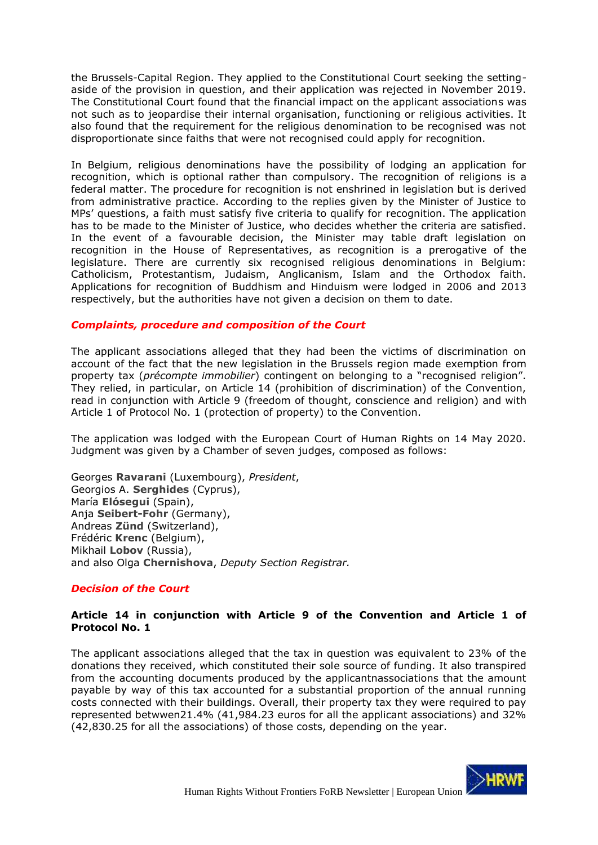the Brussels-Capital Region. They applied to the Constitutional Court seeking the settingaside of the provision in question, and their application was rejected in November 2019. The Constitutional Court found that the financial impact on the applicant associations was not such as to jeopardise their internal organisation, functioning or religious activities. It also found that the requirement for the religious denomination to be recognised was not disproportionate since faiths that were not recognised could apply for recognition.

In Belgium, religious denominations have the possibility of lodging an application for recognition, which is optional rather than compulsory. The recognition of religions is a federal matter. The procedure for recognition is not enshrined in legislation but is derived from administrative practice. According to the replies given by the Minister of Justice to MPs' questions, a faith must satisfy five criteria to qualify for recognition. The application has to be made to the Minister of Justice, who decides whether the criteria are satisfied. In the event of a favourable decision, the Minister may table draft legislation on recognition in the House of Representatives, as recognition is a prerogative of the legislature. There are currently six recognised religious denominations in Belgium: Catholicism, Protestantism, Judaism, Anglicanism, Islam and the Orthodox faith. Applications for recognition of Buddhism and Hinduism were lodged in 2006 and 2013 respectively, but the authorities have not given a decision on them to date.

#### *Complaints, procedure and composition of the Court*

The applicant associations alleged that they had been the victims of discrimination on account of the fact that the new legislation in the Brussels region made exemption from property tax (*précompte immobilier*) contingent on belonging to a "recognised religion". They relied, in particular, on Article 14 (prohibition of discrimination) of the Convention, read in conjunction with Article 9 (freedom of thought, conscience and religion) and with Article 1 of Protocol No. 1 (protection of property) to the Convention.

The application was lodged with the European Court of Human Rights on 14 May 2020. Judgment was given by a Chamber of seven judges, composed as follows:

Georges **Ravarani** (Luxembourg), *President*, Georgios A. **Serghides** (Cyprus), María **Elósegui** (Spain), Anja **Seibert-Fohr** (Germany), Andreas **Zünd** (Switzerland), Frédéric **Krenc** (Belgium), Mikhail **Lobov** (Russia), and also Olga **Chernishova**, *Deputy Section Registrar.* 

# *Decision of the Court*

# **Article 14 in conjunction with Article 9 of the Convention and Article 1 of Protocol No. 1**

The applicant associations alleged that the tax in question was equivalent to 23% of the donations they received, which constituted their sole source of funding. It also transpired from the accounting documents produced by the applicantnassociations that the amount payable by way of this tax accounted for a substantial proportion of the annual running costs connected with their buildings. Overall, their property tax they were required to pay represented betwwen21.4% (41,984.23 euros for all the applicant associations) and 32% (42,830.25 for all the associations) of those costs, depending on the year.

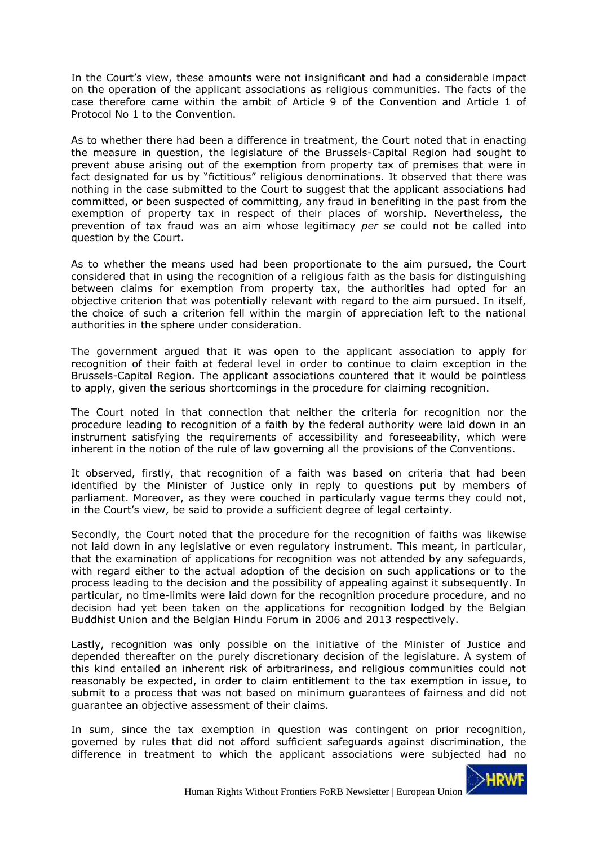In the Court's view, these amounts were not insignificant and had a considerable impact on the operation of the applicant associations as religious communities. The facts of the case therefore came within the ambit of Article 9 of the Convention and Article 1 of Protocol No 1 to the Convention.

As to whether there had been a difference in treatment, the Court noted that in enacting the measure in question, the legislature of the Brussels-Capital Region had sought to prevent abuse arising out of the exemption from property tax of premises that were in fact designated for us by "fictitious" religious denominations. It observed that there was nothing in the case submitted to the Court to suggest that the applicant associations had committed, or been suspected of committing, any fraud in benefiting in the past from the exemption of property tax in respect of their places of worship. Nevertheless, the prevention of tax fraud was an aim whose legitimacy *per se* could not be called into question by the Court.

As to whether the means used had been proportionate to the aim pursued, the Court considered that in using the recognition of a religious faith as the basis for distinguishing between claims for exemption from property tax, the authorities had opted for an objective criterion that was potentially relevant with regard to the aim pursued. In itself, the choice of such a criterion fell within the margin of appreciation left to the national authorities in the sphere under consideration.

The government argued that it was open to the applicant association to apply for recognition of their faith at federal level in order to continue to claim exception in the Brussels-Capital Region. The applicant associations countered that it would be pointless to apply, given the serious shortcomings in the procedure for claiming recognition.

The Court noted in that connection that neither the criteria for recognition nor the procedure leading to recognition of a faith by the federal authority were laid down in an instrument satisfying the requirements of accessibility and foreseeability, which were inherent in the notion of the rule of law governing all the provisions of the Conventions.

It observed, firstly, that recognition of a faith was based on criteria that had been identified by the Minister of Justice only in reply to questions put by members of parliament. Moreover, as they were couched in particularly vague terms they could not, in the Court's view, be said to provide a sufficient degree of legal certainty.

Secondly, the Court noted that the procedure for the recognition of faiths was likewise not laid down in any legislative or even regulatory instrument. This meant, in particular, that the examination of applications for recognition was not attended by any safeguards, with regard either to the actual adoption of the decision on such applications or to the process leading to the decision and the possibility of appealing against it subsequently. In particular, no time-limits were laid down for the recognition procedure procedure, and no decision had yet been taken on the applications for recognition lodged by the Belgian Buddhist Union and the Belgian Hindu Forum in 2006 and 2013 respectively.

Lastly, recognition was only possible on the initiative of the Minister of Justice and depended thereafter on the purely discretionary decision of the legislature. A system of this kind entailed an inherent risk of arbitrariness, and religious communities could not reasonably be expected, in order to claim entitlement to the tax exemption in issue, to submit to a process that was not based on minimum guarantees of fairness and did not guarantee an objective assessment of their claims.

In sum, since the tax exemption in question was contingent on prior recognition, governed by rules that did not afford sufficient safeguards against discrimination, the difference in treatment to which the applicant associations were subjected had no